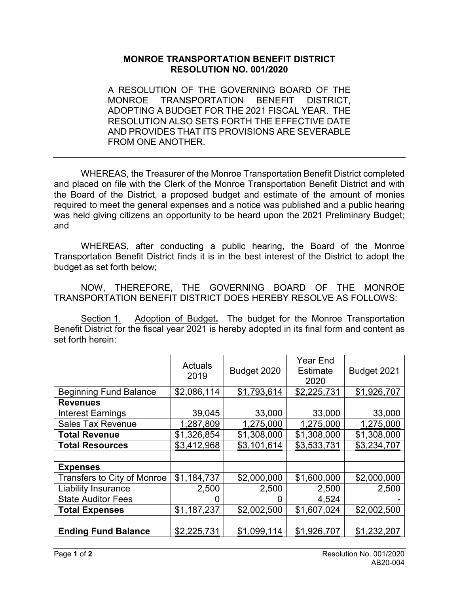## **MONROE TRANSPORTATION BENEFIT DISTRICT RESOLUTION NO. 001/2020**

A RESOLUTION OF THE GOVERNING BOARD OF THE MONROE TRANSPORTATION BENEFIT DISTRICT, ADOPTING A BUDGET FOR THE 2021 FISCAL YEAR. THE RESOLUTION ALSO SETS FORTH THE EFFECTIVE DATE AND PROVIDES THAT ITS PROVISIONS ARE SEVERABLE FROM ONE ANOTHER.

WHEREAS, the Treasurer of the Monroe Transportation Benefit District completed and placed on file with the Clerk of the Monroe Transportation Benefit District and with the Board of the District, a proposed budget and estimate of the amount of monies required to meet the general expenses and a notice was published and a public hearing was held giving citizens an opportunity to be heard upon the 2021 Preliminary Budget; and

WHEREAS, after conducting a public hearing, the Board of the Monroe Transportation Benefit District finds it is in the best interest of the District to adopt the budget as set forth below;

NOW, THEREFORE, THE GOVERNING BOARD OF THE MONROE TRANSPORTATION BENEFIT DISTRICT DOES HEREBY RESOLVE AS FOLLOWS:

Section 1. Adoption of Budget**.** The budget for the Monroe Transportation Benefit District for the fiscal year 2021 is hereby adopted in its final form and content as set forth herein:

|                               | Actuals<br>2019 | Budget 2020 | Year End<br><b>Estimate</b><br>2020 | Budget 2021 |
|-------------------------------|-----------------|-------------|-------------------------------------|-------------|
| <b>Beginning Fund Balance</b> | \$2,086,114     | \$1,793,614 | \$2,225,731                         | \$1,926,707 |
| <b>Revenues</b>               |                 |             |                                     |             |
| <b>Interest Earnings</b>      | 39,045          | 33,000      | 33,000                              | 33,000      |
| <b>Sales Tax Revenue</b>      | 1,287,809       | 1,275,000   | 1,275,000                           | 1,275,000   |
| <b>Total Revenue</b>          | \$1,326,854     | \$1,308,000 | \$1,308,000                         | \$1,308,000 |
| <b>Total Resources</b>        | \$3,412,968     | \$3,101,614 | \$3,533,731                         | \$3,234,707 |
|                               |                 |             |                                     |             |
| <b>Expenses</b>               |                 |             |                                     |             |
| Transfers to City of Monroe   | \$1,184,737     | \$2,000,000 | \$1,600,000                         | \$2,000,000 |
| <b>Liability Insurance</b>    | 2,500           | 2,500       | 2,500                               | 2,500       |
| <b>State Auditor Fees</b>     |                 |             | 4.524                               |             |
| <b>Total Expenses</b>         | \$1,187,237     | \$2,002,500 | \$1,607,024                         | \$2,002,500 |
|                               |                 |             |                                     |             |
| <b>Ending Fund Balance</b>    | \$2,225,731     | \$1,099,114 | \$1,926,707                         | \$1,232,207 |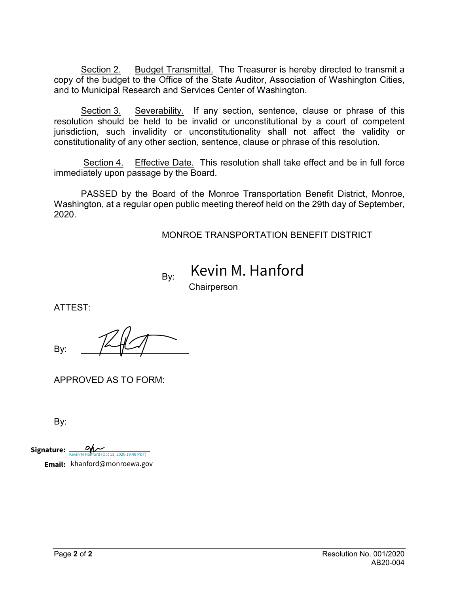Section 2. Budget Transmittal. The Treasurer is hereby directed to transmit a copy of the budget to the Office of the State Auditor, Association of Washington Cities, and to Municipal Research and Services Center of Washington.

Section 3. Severability. If any section, sentence, clause or phrase of this resolution should be held to be invalid or unconstitutional by a court of competent jurisdiction, such invalidity or unconstitutionality shall not affect the validity or constitutionality of any other section, sentence, clause or phrase of this resolution.

Section 4. Effective Date. This resolution shall take effect and be in full force immediately upon passage by the Board.

PASSED by the Board of the Monroe Transportation Benefit District, Monroe, Washington, at a regular open public meeting thereof held on the 29th day of September, 2020.

MONROE TRANSPORTATION BENEFIT DISTRICT

 By: Kevin M. Hanford

**Chairperson** 

ATTEST:

By:

APPROVED AS TO FORM:

By:

Signature:  $\sum_{\text{Kevin M Handford (Oct 13, 2020 19:49 PDT)}}$ 

**Email:** khanford@monroewa.gov